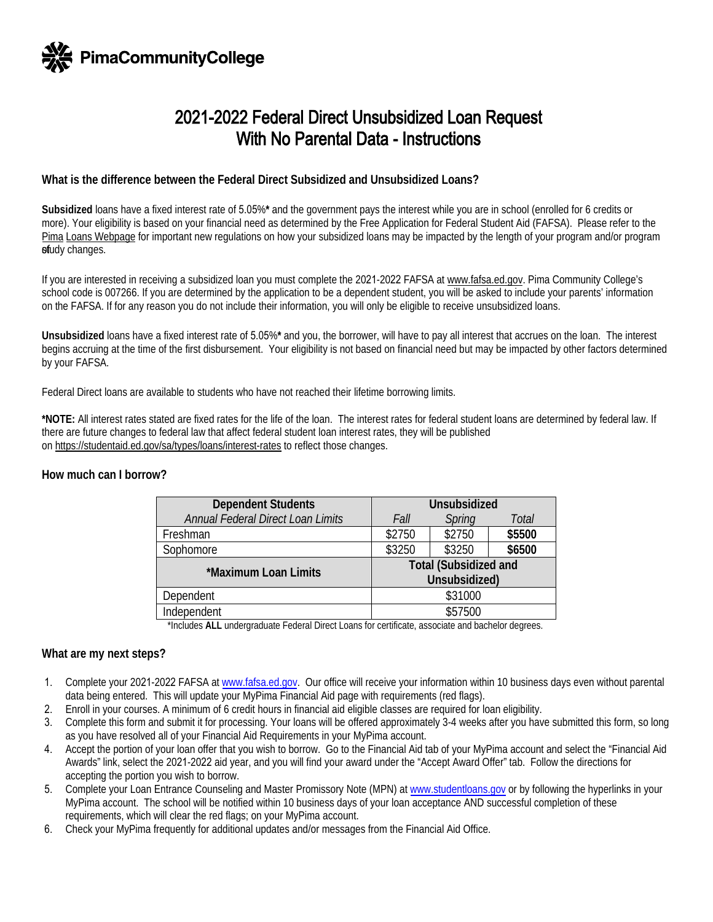

# 2021-2022 Federal Direct Unsubsidized Loan Request With No Parental Data - Instructions

## **What is the difference between the Federal Direct Subsidized and Unsubsidized Loans?**

**Subsidized** loans have a fixed interest rate of 5.05%**\*** and the government pays the interest while you are in school (enrolled for 6 credits or more). Your eligibility is based on your financial need as determined by the Free Application for Federal Student Aid (FAFSA). Please refer to the Pima [Loans Webpage](https://www.pima.edu/paying-for-school/financial-aid/types-aid/loans/index.html) for important new regulations on how your subsidized loans may be impacted by the length of your program and/or program sfudy changes.

If you are interested in receiving a subsidized loan you must complete the 2021-2022 FAFSA at<www.fafsa.ed.gov>. Pima Community College's school code is 007266. If you are determined by the application to be a dependent student, you will be asked to include your parents' information on the FAFSA. If for any reason you do not include their information, you will only be eligible to receive unsubsidized loans.

**Unsubsidized** loans have a fixed interest rate of 5.05%**\*** and you, the borrower, will have to pay all interest that accrues on the loan. The interest begins accruing at the time of the first disbursement. Your eligibility is not based on financial need but may be impacted by other factors determined by your FAFSA.

Federal Direct loans are available to students who have not reached their lifetime borrowing limits.

**\*NOTE:** All interest rates stated are fixed rates for the life of the loan. The interest rates for federal student loans are determined by federal law. If there are future changes to federal law that affect federal student loan interest rates, they will be published on<https://studentaid.ed.gov/sa/types/loans/interest-rates> to reflect those changes.

## **How much can I borrow?**

| <b>Dependent Students</b>         | Unsubsidized                                  |        |        |
|-----------------------------------|-----------------------------------------------|--------|--------|
| Annual Federal Direct Loan Limits | Fall                                          | Spring | Total  |
| Freshman                          | \$2750                                        | \$2750 | \$5500 |
| Sophomore                         | \$3250                                        | \$3250 | \$6500 |
| *Maximum Loan Limits              | <b>Total (Subsidized and</b><br>Unsubsidized) |        |        |
| Dependent                         | \$31000                                       |        |        |
| Independent                       | \$57500                                       |        |        |

\*Includes **ALL** undergraduate Federal Direct Loans for certificate, associate and bachelor degrees.

## **What are my next steps?**

- 1. Complete your 2021-2022 FAFSA at <www.fafsa.ed.gov>. Our office will receive your information within 10 business days even without parental data being entered. This will update your MyPima Financial Aid page with requirements (red flags).
- 2. Enroll in your courses. A minimum of 6 credit hours in financial aid eligible classes are required for loan eligibility.
- 3. Complete this form and submit it for processing. Your loans will be offered approximately 3-4 weeks after you have submitted this form, so long as you have resolved all of your Financial Aid Requirements in your MyPima account.
- 4. Accept the portion of your loan offer that you wish to borrow. Go to the Financial Aid tab of your MyPima account and select the "Financial Aid Awards" link, select the 2021-2022 aid year, and you will find your award under the "Accept Award Offer" tab. Follow the directions for accepting the portion you wish to borrow.
- 5. Complete your Loan Entrance Counseling and Master Promissory Note (MPN) at<www.studentloans.gov>or by following the hyperlinks in your MyPima account. The school will be notified within 10 business days of your loan acceptance AND successful completion of these requirements, which will clear the red flags; on your MyPima account.
- 6. Check your MyPima frequently for additional updates and/or messages from the Financial Aid Office.